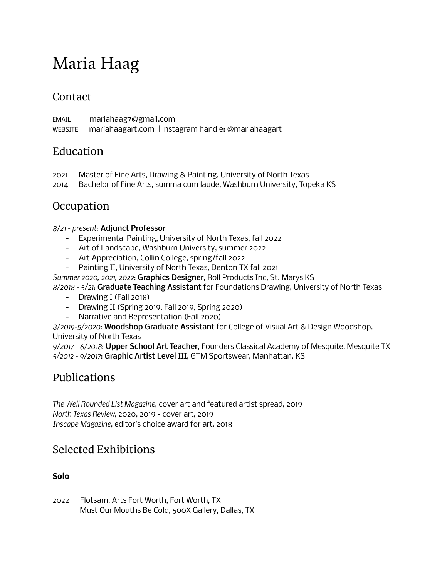# Maria Haag

### **Contact**

EMAIL mariahaag7@gmail.com WEBSITE mariahaagart.com | instagram handle: @mariahaagart

### Education

- 2021 Master of Fine Arts, Drawing & Painting, University of North Texas
- 2014 Bachelor of Fine Arts, summa cum laude, Washburn University, Topeka KS

## **Occupation**

#### *8/21 - present:* Adjunct Professor

- Experimental Painting, University of North Texas, fall 2022
- Art of Landscape, Washburn University, summer 2022
- Art Appreciation, Collin College, spring/fall 2022
- Painting II, University of North Texas, Denton TX fall 2021

*Summer 2020, 2021, 2022*: Graphics Designer, Roll Products Inc, St. Marys KS

*8/2018 - 5/21*: Graduate Teaching Assistant for Foundations Drawing, University of North Texas

- Drawing I (Fall 2018)
- Drawing II (Spring 2019, Fall 2019, Spring 2020)
- Narrative and Representation (Fall 2020)

*8/2019-5/2020*: Woodshop Graduate Assistant for College of Visual Art & Design Woodshop, University of North Texas

*9/2017 - 6/2018*: Upper School Art Teacher, Founders Classical Academy of Mesquite, Mesquite TX *5/2012 - 9/2017*: Graphic Artist Level III, GTM Sportswear, Manhattan, KS

# Publications

*The Well Rounded List Magazine*, cover art and featured artist spread, 2019 *North Texas Review*, 2020, 2019 - cover art, 2019 *Inscape Magazine*, editor's choice award for art, 2018

# Selected Exhibitions

#### **Solo**

2022 Flotsam, Arts Fort Worth, Fort Worth, TX Must Our Mouths Be Cold, 500X Gallery, Dallas, TX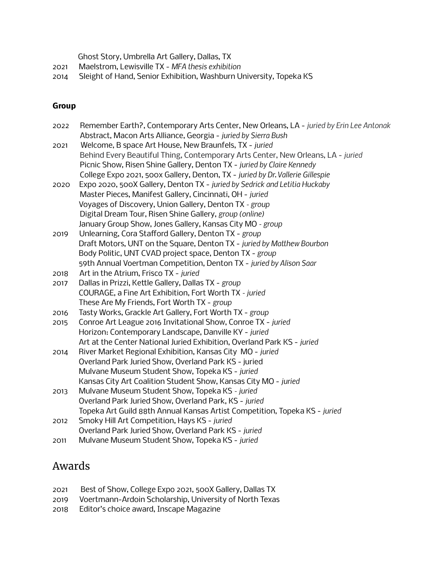Ghost Story, Umbrella Art Gallery, Dallas, TX

- 2021 Maelstrom, Lewisville TX *MFA thesis exhibition*
- 2014 Sleight of Hand, Senior Exhibition, Washburn University, Topeka KS

#### **Group**

| 2022 | Remember Earth?, Contemporary Arts Center, New Orleans, LA - juried by Erin Lee Antonak |
|------|-----------------------------------------------------------------------------------------|
|      | Abstract, Macon Arts Alliance, Georgia - juried by Sierra Bush                          |
| 2021 | Welcome, B space Art House, New Braunfels, TX - juried                                  |
|      | Behind Every Beautiful Thing, Contemporary Arts Center, New Orleans, LA - juried        |
|      | Picnic Show, Risen Shine Gallery, Denton TX - juried by Claire Kennedy                  |
|      | College Expo 2021, 500x Gallery, Denton, TX - juried by Dr. Vallerie Gillespie          |
| 2020 | Expo 2020, 500X Gallery, Denton TX - juried by Sedrick and Letitia Huckaby              |
|      | Master Pieces, Manifest Gallery, Cincinnati, OH - juried                                |
|      | Voyages of Discovery, Union Gallery, Denton TX - group                                  |
|      | Digital Dream Tour, Risen Shine Gallery, group (online)                                 |
|      | January Group Show, Jones Gallery, Kansas City MO - group                               |
| 2019 | Unlearning, Cora Stafford Gallery, Denton TX - group                                    |
|      | Draft Motors, UNT on the Square, Denton TX - juried by Matthew Bourbon                  |
|      | Body Politic, UNT CVAD project space, Denton TX - group                                 |
|      | 59th Annual Voertman Competition, Denton TX - juried by Alison Saar                     |
| 2018 | Art in the Atrium, Frisco TX - juried                                                   |
| 2017 | Dallas in Prizzi, Kettle Gallery, Dallas TX - group                                     |
|      | COURAGE, a Fine Art Exhibition, Fort Worth TX - juried                                  |
|      | These Are My Friends, Fort Worth TX - group                                             |
| 2016 | Tasty Works, Grackle Art Gallery, Fort Worth TX - group                                 |
| 2015 | Conroe Art League 2016 Invitational Show, Conroe TX - juried                            |
|      | Horizon: Contemporary Landscape, Danville KY - juried                                   |
|      | Art at the Center National Juried Exhibition, Overland Park KS - juried                 |
| 2014 | River Market Regional Exhibition, Kansas City MO - juried                               |
|      | Overland Park Juried Show, Overland Park KS - juried                                    |
|      | Mulvane Museum Student Show, Topeka KS - juried                                         |
|      | Kansas City Art Coalition Student Show, Kansas City MO - juried                         |
| 2013 | Mulvane Museum Student Show, Topeka KS - juried                                         |
|      | Overland Park Juried Show, Overland Park, KS - juried                                   |
|      | Topeka Art Guild 88th Annual Kansas Artist Competition, Topeka KS - juried              |
| 2012 | Smoky Hill Art Competition, Hays KS - juried                                            |
|      | Overland Park Juried Show, Overland Park KS - juried                                    |
| 2011 | Mulvane Museum Student Show, Topeka KS - juried                                         |

#### Awards

- 2021 Best of Show, College Expo 2021, 500X Gallery, Dallas TX
- 2019 Voertmann-Ardoin Scholarship, University of North Texas
- 2018 Editor's choice award, Inscape Magazine